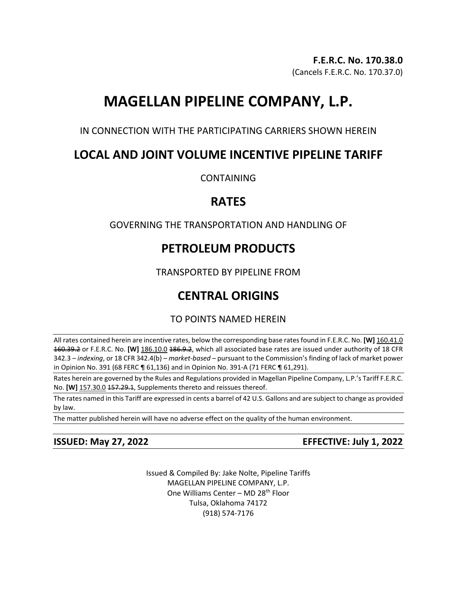# **MAGELLAN PIPELINE COMPANY, L.P.**

IN CONNECTION WITH THE PARTICIPATING CARRIERS SHOWN HEREIN

# **LOCAL AND JOINT VOLUME INCENTIVE PIPELINE TARIFF**

**CONTAINING** 

# **RATES**

# GOVERNING THE TRANSPORTATION AND HANDLING OF

# **PETROLEUM PRODUCTS**

TRANSPORTED BY PIPELINE FROM

# **CENTRAL ORIGINS**

# TO POINTS NAMED HEREIN

All rates contained herein are incentive rates, below the corresponding base rates found in F.E.R.C. No. **[W]** 160.41.0 160.39.2 or F.E.R.C. No. **[W]** 186.10.0 186.9.2, which all associated base rates are issued under authority of 18 CFR 342.3 – *indexing*, or 18 CFR 342.4(b) – *market-based* – pursuant to the Commission's finding of lack of market power in Opinion No. 391 (68 FERC ¶ 61,136) and in Opinion No. 391-A (71 FERC ¶ 61,291).

Rates herein are governed by the Rules and Regulations provided in Magellan Pipeline Company, L.P.'s Tariff F.E.R.C. No. **[W]** 157.30.0 157.29.1, Supplements thereto and reissues thereof.

The rates named in this Tariff are expressed in cents a barrel of 42 U.S. Gallons and are subject to change as provided by law.

The matter published herein will have no adverse effect on the quality of the human environment.

**ISSUED: May 27, 2022 EFFECTIVE: July 1, 2022**

Issued & Compiled By: Jake Nolte, Pipeline Tariffs MAGELLAN PIPELINE COMPANY, L.P. One Williams Center - MD 28<sup>th</sup> Floor Tulsa, Oklahoma 74172 (918) 574-7176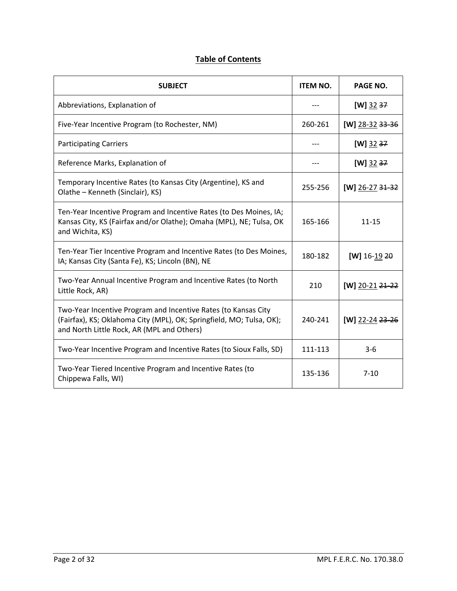# **Table of Contents**

| <b>SUBJECT</b>                                                                                                                                                                       | <b>ITEM NO.</b> | PAGE NO.            |
|--------------------------------------------------------------------------------------------------------------------------------------------------------------------------------------|-----------------|---------------------|
| Abbreviations, Explanation of                                                                                                                                                        |                 | $[W]$ 32 37         |
| Five-Year Incentive Program (to Rochester, NM)                                                                                                                                       | 260-261         | [W] $28-32$ 33-36   |
| <b>Participating Carriers</b>                                                                                                                                                        |                 | $[W]$ 32 37         |
| Reference Marks, Explanation of                                                                                                                                                      |                 | $[W]$ 32 37         |
| Temporary Incentive Rates (to Kansas City (Argentine), KS and<br>Olathe - Kenneth (Sinclair), KS)                                                                                    | 255-256         | $[W]$ 26-27 31-32   |
| Ten-Year Incentive Program and Incentive Rates (to Des Moines, IA;<br>Kansas City, KS (Fairfax and/or Olathe); Omaha (MPL), NE; Tulsa, OK<br>and Wichita, KS)                        | 165-166         | $11 - 15$           |
| Ten-Year Tier Incentive Program and Incentive Rates (to Des Moines,<br>IA; Kansas City (Santa Fe), KS; Lincoln (BN), NE                                                              | 180-182         | $[W]$ 16-19 20      |
| Two-Year Annual Incentive Program and Incentive Rates (to North<br>Little Rock, AR)                                                                                                  | 210             | [W] 20-21 $21 - 22$ |
| Two-Year Incentive Program and Incentive Rates (to Kansas City<br>(Fairfax), KS; Oklahoma City (MPL), OK; Springfield, MO; Tulsa, OK);<br>and North Little Rock, AR (MPL and Others) | 240-241         | [W] 22-24 $23 - 26$ |
| Two-Year Incentive Program and Incentive Rates (to Sioux Falls, SD)                                                                                                                  | 111-113         | $3-6$               |
| Two-Year Tiered Incentive Program and Incentive Rates (to<br>Chippewa Falls, WI)                                                                                                     | 135-136         | $7 - 10$            |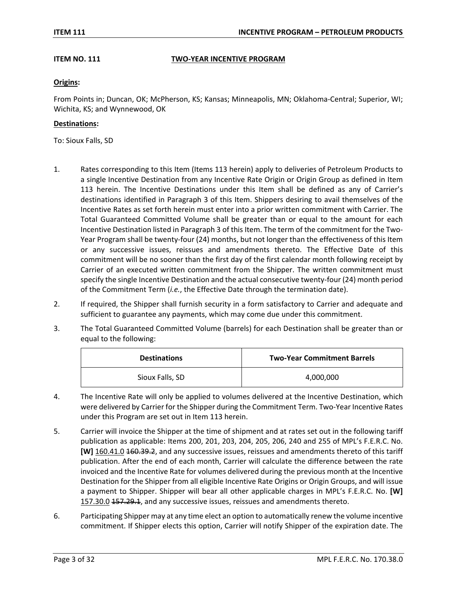# **ITEM NO. 111 TWO-YEAR INCENTIVE PROGRAM**

# **Origins:**

From Points in; Duncan, OK; McPherson, KS; Kansas; Minneapolis, MN; Oklahoma-Central; Superior, WI; Wichita, KS; and Wynnewood, OK

### **Destinations:**

To: Sioux Falls, SD

- 1. Rates corresponding to this Item (Items 113 herein) apply to deliveries of Petroleum Products to a single Incentive Destination from any Incentive Rate Origin or Origin Group as defined in Item 113 herein. The Incentive Destinations under this Item shall be defined as any of Carrier's destinations identified in Paragraph 3 of this Item. Shippers desiring to avail themselves of the Incentive Rates as set forth herein must enter into a prior written commitment with Carrier. The Total Guaranteed Committed Volume shall be greater than or equal to the amount for each Incentive Destination listed in Paragraph 3 of this Item. The term of the commitment for the Two-Year Program shall be twenty-four (24) months, but not longer than the effectiveness of this Item or any successive issues, reissues and amendments thereto. The Effective Date of this commitment will be no sooner than the first day of the first calendar month following receipt by Carrier of an executed written commitment from the Shipper. The written commitment must specify the single Incentive Destination and the actual consecutive twenty-four (24) month period of the Commitment Term (*i.e.*, the Effective Date through the termination date).
- 2. If required, the Shipper shall furnish security in a form satisfactory to Carrier and adequate and sufficient to guarantee any payments, which may come due under this commitment.
- 3. The Total Guaranteed Committed Volume (barrels) for each Destination shall be greater than or equal to the following:

| <b>Destinations</b> | <b>Two-Year Commitment Barrels</b> |
|---------------------|------------------------------------|
| Sioux Falls, SD     | 4,000,000                          |

- 4. The Incentive Rate will only be applied to volumes delivered at the Incentive Destination, which were delivered by Carrier for the Shipper during the Commitment Term. Two-Year Incentive Rates under this Program are set out in Item 113 herein.
- 5. Carrier will invoice the Shipper at the time of shipment and at rates set out in the following tariff publication as applicable: Items 200, 201, 203, 204, 205, 206, 240 and 255 of MPL's F.E.R.C. No. **[W]** 160.41.0 160.39.2, and any successive issues, reissues and amendments thereto of this tariff publication. After the end of each month, Carrier will calculate the difference between the rate invoiced and the Incentive Rate for volumes delivered during the previous month at the Incentive Destination for the Shipper from all eligible Incentive Rate Origins or Origin Groups, and will issue a payment to Shipper. Shipper will bear all other applicable charges in MPL's F.E.R.C. No. **[W]**  157.30.0 157.29.1, and any successive issues, reissues and amendments thereto.
- 6. Participating Shipper may at any time elect an option to automatically renew the volume incentive commitment. If Shipper elects this option, Carrier will notify Shipper of the expiration date. The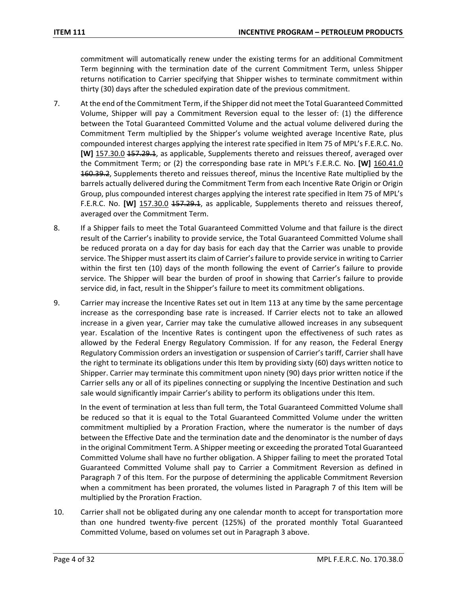commitment will automatically renew under the existing terms for an additional Commitment Term beginning with the termination date of the current Commitment Term, unless Shipper returns notification to Carrier specifying that Shipper wishes to terminate commitment within thirty (30) days after the scheduled expiration date of the previous commitment.

- 7. At the end of the Commitment Term, if the Shipper did not meet the Total Guaranteed Committed Volume, Shipper will pay a Commitment Reversion equal to the lesser of: (1) the difference between the Total Guaranteed Committed Volume and the actual volume delivered during the Commitment Term multiplied by the Shipper's volume weighted average Incentive Rate, plus compounded interest charges applying the interest rate specified in Item 75 of MPL's F.E.R.C. No. **[W]** 157.30.0 157.29.1, as applicable, Supplements thereto and reissues thereof, averaged over the Commitment Term; or (2) the corresponding base rate in MPL's F.E.R.C. No. **[W]** 160.41.0 **160.39.2**, Supplements thereto and reissues thereof, minus the Incentive Rate multiplied by the barrels actually delivered during the Commitment Term from each Incentive Rate Origin or Origin Group, plus compounded interest charges applying the interest rate specified in Item 75 of MPL's F.E.R.C. No. **[W]** 157.30.0 157.29.1, as applicable, Supplements thereto and reissues thereof, averaged over the Commitment Term.
- 8. If a Shipper fails to meet the Total Guaranteed Committed Volume and that failure is the direct result of the Carrier's inability to provide service, the Total Guaranteed Committed Volume shall be reduced prorata on a day for day basis for each day that the Carrier was unable to provide service. The Shipper must assert its claim of Carrier's failure to provide service in writing to Carrier within the first ten (10) days of the month following the event of Carrier's failure to provide service. The Shipper will bear the burden of proof in showing that Carrier's failure to provide service did, in fact, result in the Shipper's failure to meet its commitment obligations.
- 9. Carrier may increase the Incentive Rates set out in Item 113 at any time by the same percentage increase as the corresponding base rate is increased. If Carrier elects not to take an allowed increase in a given year, Carrier may take the cumulative allowed increases in any subsequent year. Escalation of the Incentive Rates is contingent upon the effectiveness of such rates as allowed by the Federal Energy Regulatory Commission. If for any reason, the Federal Energy Regulatory Commission orders an investigation or suspension of Carrier's tariff, Carrier shall have the right to terminate its obligations under this Item by providing sixty (60) days written notice to Shipper. Carrier may terminate this commitment upon ninety (90) days prior written notice if the Carrier sells any or all of its pipelines connecting or supplying the Incentive Destination and such sale would significantly impair Carrier's ability to perform its obligations under this Item.

In the event of termination at less than full term, the Total Guaranteed Committed Volume shall be reduced so that it is equal to the Total Guaranteed Committed Volume under the written commitment multiplied by a Proration Fraction, where the numerator is the number of days between the Effective Date and the termination date and the denominator is the number of days in the original Commitment Term. A Shipper meeting or exceeding the prorated Total Guaranteed Committed Volume shall have no further obligation. A Shipper failing to meet the prorated Total Guaranteed Committed Volume shall pay to Carrier a Commitment Reversion as defined in Paragraph 7 of this Item. For the purpose of determining the applicable Commitment Reversion when a commitment has been prorated, the volumes listed in Paragraph 7 of this Item will be multiplied by the Proration Fraction.

10. Carrier shall not be obligated during any one calendar month to accept for transportation more than one hundred twenty-five percent (125%) of the prorated monthly Total Guaranteed Committed Volume, based on volumes set out in Paragraph 3 above.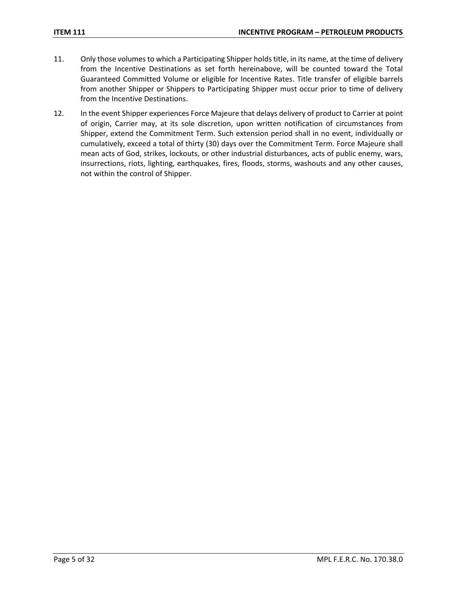- 11. Only those volumes to which a Participating Shipper holds title, in its name, at the time of delivery from the Incentive Destinations as set forth hereinabove, will be counted toward the Total Guaranteed Committed Volume or eligible for Incentive Rates. Title transfer of eligible barrels from another Shipper or Shippers to Participating Shipper must occur prior to time of delivery from the Incentive Destinations.
- 12. In the event Shipper experiences Force Majeure that delays delivery of product to Carrier at point of origin, Carrier may, at its sole discretion, upon written notification of circumstances from Shipper, extend the Commitment Term. Such extension period shall in no event, individually or cumulatively, exceed a total of thirty (30) days over the Commitment Term. Force Majeure shall mean acts of God, strikes, lockouts, or other industrial disturbances, acts of public enemy, wars, insurrections, riots, lighting, earthquakes, fires, floods, storms, washouts and any other causes, not within the control of Shipper.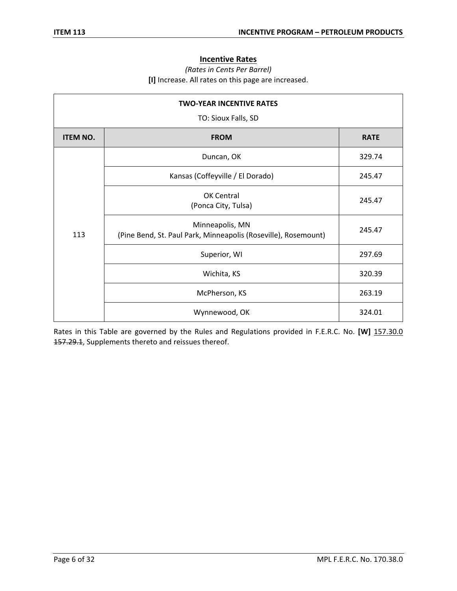# **Incentive Rates**

# *(Rates in Cents Per Barrel)* **[I]** Increase. All rates on this page are increased.

| <b>TWO-YEAR INCENTIVE RATES</b><br>TO: Sioux Falls, SD |                                                                                   |             |  |
|--------------------------------------------------------|-----------------------------------------------------------------------------------|-------------|--|
| <b>ITEM NO.</b>                                        | <b>FROM</b>                                                                       | <b>RATE</b> |  |
|                                                        | Duncan, OK                                                                        | 329.74      |  |
|                                                        | Kansas (Coffeyville / El Dorado)                                                  | 245.47      |  |
|                                                        | OK Central<br>(Ponca City, Tulsa)                                                 | 245.47      |  |
| 113                                                    | Minneapolis, MN<br>(Pine Bend, St. Paul Park, Minneapolis (Roseville), Rosemount) | 245.47      |  |
|                                                        | Superior, WI                                                                      | 297.69      |  |
|                                                        | Wichita, KS                                                                       | 320.39      |  |
|                                                        | McPherson, KS                                                                     | 263.19      |  |
|                                                        | Wynnewood, OK                                                                     | 324.01      |  |

Rates in this Table are governed by the Rules and Regulations provided in F.E.R.C. No. **[W]** 157.30.0 157.29.1, Supplements thereto and reissues thereof.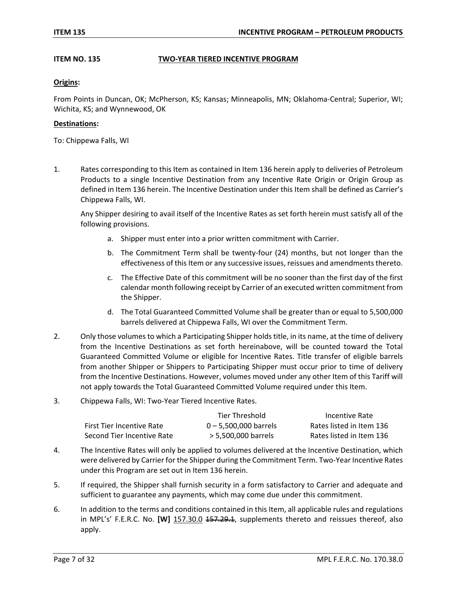# **ITEM NO. 135 TWO-YEAR TIERED INCENTIVE PROGRAM**

### **Origins:**

From Points in Duncan, OK; McPherson, KS; Kansas; Minneapolis, MN; Oklahoma-Central; Superior, WI; Wichita, KS; and Wynnewood, OK

#### **Destinations:**

To: Chippewa Falls, WI

1. Rates corresponding to this Item as contained in Item 136 herein apply to deliveries of Petroleum Products to a single Incentive Destination from any Incentive Rate Origin or Origin Group as defined in Item 136 herein. The Incentive Destination under this Item shall be defined as Carrier's Chippewa Falls, WI.

Any Shipper desiring to avail itself of the Incentive Rates as set forth herein must satisfy all of the following provisions.

- a. Shipper must enter into a prior written commitment with Carrier.
- b. The Commitment Term shall be twenty-four (24) months, but not longer than the effectiveness of this Item or any successive issues, reissues and amendments thereto.
- c. The Effective Date of this commitment will be no sooner than the first day of the first calendar month following receipt by Carrier of an executed written commitment from the Shipper.
- d. The Total Guaranteed Committed Volume shall be greater than or equal to 5,500,000 barrels delivered at Chippewa Falls, WI over the Commitment Term.
- 2. Only those volumes to which a Participating Shipper holds title, in its name, at the time of delivery from the Incentive Destinations as set forth hereinabove, will be counted toward the Total Guaranteed Committed Volume or eligible for Incentive Rates. Title transfer of eligible barrels from another Shipper or Shippers to Participating Shipper must occur prior to time of delivery from the Incentive Destinations. However, volumes moved under any other Item of this Tariff will not apply towards the Total Guaranteed Committed Volume required under this Item.
- 3. Chippewa Falls, WI: Two-Year Tiered Incentive Rates.

|                            | Tier Threshold          | Incentive Rate           |
|----------------------------|-------------------------|--------------------------|
| First Tier Incentive Rate  | $0 - 5.500.000$ barrels | Rates listed in Item 136 |
| Second Tier Incentive Rate | > 5.500.000 barrels     | Rates listed in Item 136 |

- 4. The Incentive Rates will only be applied to volumes delivered at the Incentive Destination, which were delivered by Carrier for the Shipper during the Commitment Term. Two-Year Incentive Rates under this Program are set out in Item 136 herein.
- 5. If required, the Shipper shall furnish security in a form satisfactory to Carrier and adequate and sufficient to guarantee any payments, which may come due under this commitment.
- 6. In addition to the terms and conditions contained in this Item, all applicable rules and regulations in MPL's' F.E.R.C. No. **[W]** 157.30.0 157.29.1, supplements thereto and reissues thereof, also apply.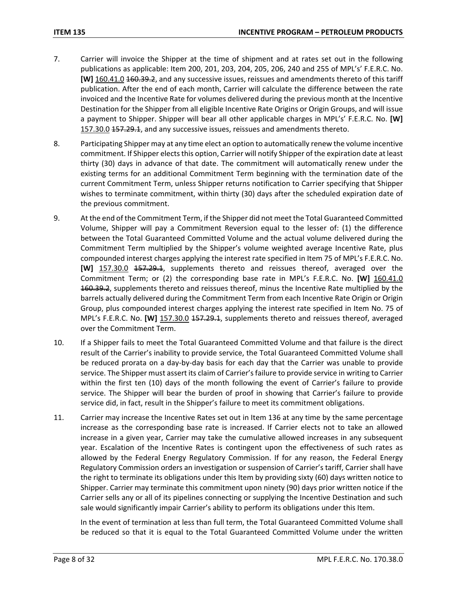- 7. Carrier will invoice the Shipper at the time of shipment and at rates set out in the following publications as applicable: Item 200, 201, 203, 204, 205, 206, 240 and 255 of MPL's' F.E.R.C. No. **[W]** 160.41.0 160.39.2, and any successive issues, reissues and amendments thereto of this tariff publication. After the end of each month, Carrier will calculate the difference between the rate invoiced and the Incentive Rate for volumes delivered during the previous month at the Incentive Destination for the Shipper from all eligible Incentive Rate Origins or Origin Groups, and will issue a payment to Shipper. Shipper will bear all other applicable charges in MPL's' F.E.R.C. No. **[W]**  157.30.0 157.29.1, and any successive issues, reissues and amendments thereto.
- 8. Participating Shipper may at any time elect an option to automatically renew the volume incentive commitment. If Shipper elects this option, Carrier will notify Shipper of the expiration date at least thirty (30) days in advance of that date. The commitment will automatically renew under the existing terms for an additional Commitment Term beginning with the termination date of the current Commitment Term, unless Shipper returns notification to Carrier specifying that Shipper wishes to terminate commitment, within thirty (30) days after the scheduled expiration date of the previous commitment.
- 9. At the end of the Commitment Term, if the Shipper did not meet the Total Guaranteed Committed Volume, Shipper will pay a Commitment Reversion equal to the lesser of: (1) the difference between the Total Guaranteed Committed Volume and the actual volume delivered during the Commitment Term multiplied by the Shipper's volume weighted average Incentive Rate, plus compounded interest charges applying the interest rate specified in Item 75 of MPL's F.E.R.C. No. **[W]** 157.30.0 157.29.1, supplements thereto and reissues thereof, averaged over the Commitment Term; or (2) the corresponding base rate in MPL's F.E.R.C. No. **[W]** 160.41.0 160.39.2, supplements thereto and reissues thereof, minus the Incentive Rate multiplied by the barrels actually delivered during the Commitment Term from each Incentive Rate Origin or Origin Group, plus compounded interest charges applying the interest rate specified in Item No. 75 of MPL's F.E.R.C. No. **[W]** 157.30.0 157.29.1, supplements thereto and reissues thereof, averaged over the Commitment Term.
- 10. If a Shipper fails to meet the Total Guaranteed Committed Volume and that failure is the direct result of the Carrier's inability to provide service, the Total Guaranteed Committed Volume shall be reduced prorata on a day-by-day basis for each day that the Carrier was unable to provide service. The Shipper must assert its claim of Carrier's failure to provide service in writing to Carrier within the first ten (10) days of the month following the event of Carrier's failure to provide service. The Shipper will bear the burden of proof in showing that Carrier's failure to provide service did, in fact, result in the Shipper's failure to meet its commitment obligations.
- 11. Carrier may increase the Incentive Rates set out in Item 136 at any time by the same percentage increase as the corresponding base rate is increased. If Carrier elects not to take an allowed increase in a given year, Carrier may take the cumulative allowed increases in any subsequent year. Escalation of the Incentive Rates is contingent upon the effectiveness of such rates as allowed by the Federal Energy Regulatory Commission. If for any reason, the Federal Energy Regulatory Commission orders an investigation or suspension of Carrier's tariff, Carrier shall have the right to terminate its obligations under this Item by providing sixty (60) days written notice to Shipper. Carrier may terminate this commitment upon ninety (90) days prior written notice if the Carrier sells any or all of its pipelines connecting or supplying the Incentive Destination and such sale would significantly impair Carrier's ability to perform its obligations under this Item.

In the event of termination at less than full term, the Total Guaranteed Committed Volume shall be reduced so that it is equal to the Total Guaranteed Committed Volume under the written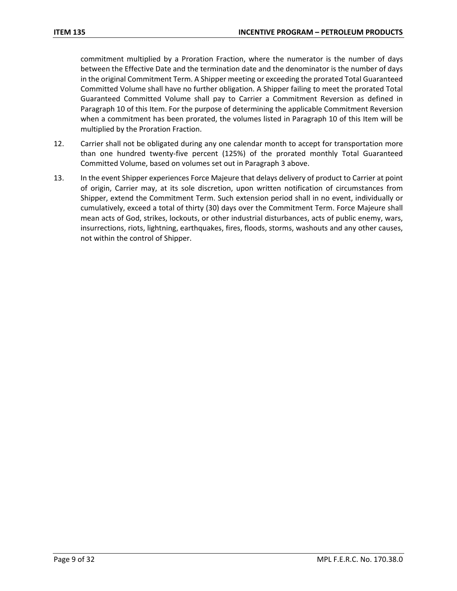commitment multiplied by a Proration Fraction, where the numerator is the number of days between the Effective Date and the termination date and the denominator is the number of days in the original Commitment Term. A Shipper meeting or exceeding the prorated Total Guaranteed Committed Volume shall have no further obligation. A Shipper failing to meet the prorated Total Guaranteed Committed Volume shall pay to Carrier a Commitment Reversion as defined in Paragraph 10 of this Item. For the purpose of determining the applicable Commitment Reversion when a commitment has been prorated, the volumes listed in Paragraph 10 of this Item will be multiplied by the Proration Fraction.

- 12. Carrier shall not be obligated during any one calendar month to accept for transportation more than one hundred twenty-five percent (125%) of the prorated monthly Total Guaranteed Committed Volume, based on volumes set out in Paragraph 3 above.
- 13. In the event Shipper experiences Force Majeure that delays delivery of product to Carrier at point of origin, Carrier may, at its sole discretion, upon written notification of circumstances from Shipper, extend the Commitment Term. Such extension period shall in no event, individually or cumulatively, exceed a total of thirty (30) days over the Commitment Term. Force Majeure shall mean acts of God, strikes, lockouts, or other industrial disturbances, acts of public enemy, wars, insurrections, riots, lightning, earthquakes, fires, floods, storms, washouts and any other causes, not within the control of Shipper.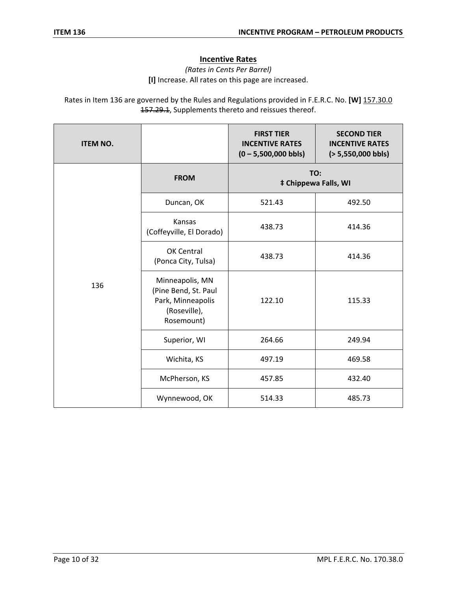# **Incentive Rates**

*(Rates in Cents Per Barrel)* **[I]** Increase. All rates on this page are increased.

Rates in Item 136 are governed by the Rules and Regulations provided in F.E.R.C. No. **[W]** 157.30.0 157.29.1, Supplements thereto and reissues thereof.

| <b>ITEM NO.</b> |                                                                                            | <b>FIRST TIER</b><br><b>INCENTIVE RATES</b><br>$(0 - 5,500,000$ bbls) | <b>SECOND TIER</b><br><b>INCENTIVE RATES</b><br>$(> 5,550,000$ bbls) |  |
|-----------------|--------------------------------------------------------------------------------------------|-----------------------------------------------------------------------|----------------------------------------------------------------------|--|
|                 | <b>FROM</b>                                                                                | TO:<br><b>‡ Chippewa Falls, WI</b>                                    |                                                                      |  |
|                 | Duncan, OK                                                                                 | 521.43                                                                | 492.50                                                               |  |
|                 | Kansas<br>(Coffeyville, El Dorado)                                                         | 438.73                                                                | 414.36                                                               |  |
|                 | OK Central<br>(Ponca City, Tulsa)                                                          | 438.73                                                                | 414.36                                                               |  |
| 136             | Minneapolis, MN<br>(Pine Bend, St. Paul<br>Park, Minneapolis<br>(Roseville),<br>Rosemount) | 122.10                                                                | 115.33                                                               |  |
|                 | Superior, WI                                                                               | 264.66                                                                | 249.94                                                               |  |
|                 | Wichita, KS                                                                                | 497.19                                                                | 469.58                                                               |  |
|                 | McPherson, KS                                                                              | 457.85                                                                | 432.40                                                               |  |
|                 | Wynnewood, OK                                                                              | 514.33                                                                | 485.73                                                               |  |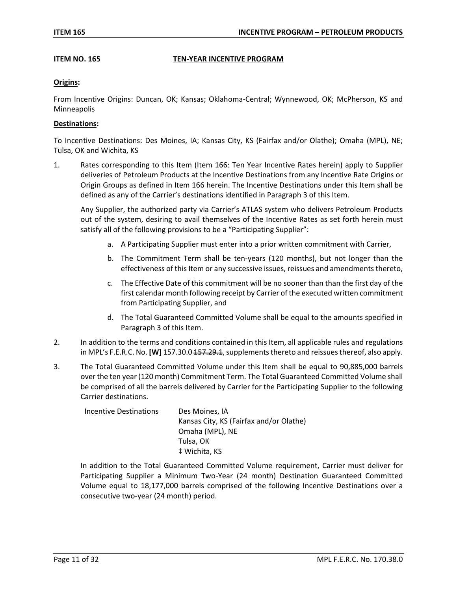## **ITEM NO. 165 TEN-YEAR INCENTIVE PROGRAM**

## **Origins:**

From Incentive Origins: Duncan, OK; Kansas; Oklahoma-Central; Wynnewood, OK; McPherson, KS and Minneapolis

## **Destinations:**

To Incentive Destinations: Des Moines, IA; Kansas City, KS (Fairfax and/or Olathe); Omaha (MPL), NE; Tulsa, OK and Wichita, KS

1. Rates corresponding to this Item (Item 166: Ten Year Incentive Rates herein) apply to Supplier deliveries of Petroleum Products at the Incentive Destinations from any Incentive Rate Origins or Origin Groups as defined in Item 166 herein. The Incentive Destinations under this Item shall be defined as any of the Carrier's destinations identified in Paragraph 3 of this Item.

Any Supplier, the authorized party via Carrier's ATLAS system who delivers Petroleum Products out of the system, desiring to avail themselves of the Incentive Rates as set forth herein must satisfy all of the following provisions to be a "Participating Supplier":

- a. A Participating Supplier must enter into a prior written commitment with Carrier,
- b. The Commitment Term shall be ten-years (120 months), but not longer than the effectiveness of this Item or any successive issues, reissues and amendments thereto,
- c. The Effective Date of this commitment will be no sooner than than the first day of the first calendar month following receipt by Carrier of the executed written commitment from Participating Supplier, and
- d. The Total Guaranteed Committed Volume shall be equal to the amounts specified in Paragraph 3 of this Item.
- 2. In addition to the terms and conditions contained in this Item, all applicable rules and regulations in MPL's F.E.R.C. No. **[W]** 157.30.0 157.29.1, supplements thereto and reissues thereof, also apply.
- 3. The Total Guaranteed Committed Volume under this Item shall be equal to 90,885,000 barrels over the ten year (120 month) Commitment Term. The Total Guaranteed Committed Volume shall be comprised of all the barrels delivered by Carrier for the Participating Supplier to the following Carrier destinations.

| Incentive Destinations | Des Moines, IA                          |
|------------------------|-----------------------------------------|
|                        | Kansas City, KS (Fairfax and/or Olathe) |
|                        | Omaha (MPL), NE                         |
|                        | Tulsa, OK                               |
|                        | ‡ Wichita, KS                           |

In addition to the Total Guaranteed Committed Volume requirement, Carrier must deliver for Participating Supplier a Minimum Two-Year (24 month) Destination Guaranteed Committed Volume equal to 18,177,000 barrels comprised of the following Incentive Destinations over a consecutive two-year (24 month) period.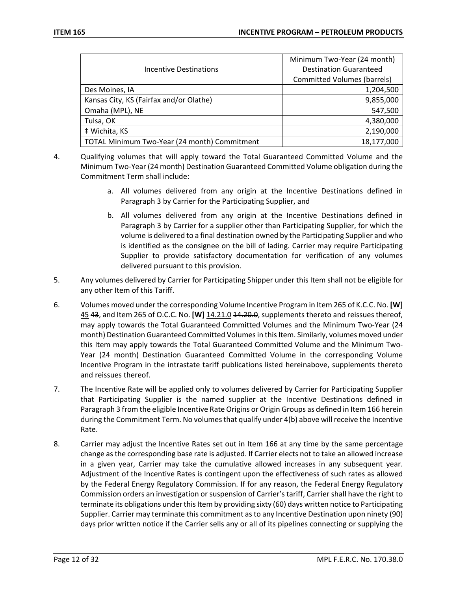|                                              | Minimum Two-Year (24 month)        |
|----------------------------------------------|------------------------------------|
| Incentive Destinations                       | <b>Destination Guaranteed</b>      |
|                                              | <b>Committed Volumes (barrels)</b> |
| Des Moines, IA                               | 1,204,500                          |
| Kansas City, KS (Fairfax and/or Olathe)      | 9,855,000                          |
| Omaha (MPL), NE                              | 547,500                            |
| Tulsa, OK                                    | 4,380,000                          |
| # Wichita, KS                                | 2,190,000                          |
| TOTAL Minimum Two-Year (24 month) Commitment | 18,177,000                         |

- 4. Qualifying volumes that will apply toward the Total Guaranteed Committed Volume and the Minimum Two-Year (24 month) Destination Guaranteed Committed Volume obligation during the Commitment Term shall include:
	- a. All volumes delivered from any origin at the Incentive Destinations defined in Paragraph 3 by Carrier for the Participating Supplier, and
	- b. All volumes delivered from any origin at the Incentive Destinations defined in Paragraph 3 by Carrier for a supplier other than Participating Supplier, for which the volume is delivered to a final destination owned by the Participating Supplier and who is identified as the consignee on the bill of lading. Carrier may require Participating Supplier to provide satisfactory documentation for verification of any volumes delivered pursuant to this provision.
- 5. Any volumes delivered by Carrier for Participating Shipper under this Item shall not be eligible for any other Item of this Tariff.
- 6. Volumes moved under the corresponding Volume Incentive Program in Item 265 of K.C.C. No. **[W]** 45 43, and Item 265 of O.C.C. No. **[W]** 14.21.0 44.20.0, supplements thereto and reissues thereof, may apply towards the Total Guaranteed Committed Volumes and the Minimum Two-Year (24 month) Destination Guaranteed Committed Volumes in this Item. Similarly, volumes moved under this Item may apply towards the Total Guaranteed Committed Volume and the Minimum Two-Year (24 month) Destination Guaranteed Committed Volume in the corresponding Volume Incentive Program in the intrastate tariff publications listed hereinabove, supplements thereto and reissues thereof.
- 7. The Incentive Rate will be applied only to volumes delivered by Carrier for Participating Supplier that Participating Supplier is the named supplier at the Incentive Destinations defined in Paragraph 3 from the eligible Incentive Rate Origins or Origin Groups as defined in Item 166 herein during the Commitment Term. No volumes that qualify under 4(b) above will receive the Incentive Rate.
- 8. Carrier may adjust the Incentive Rates set out in Item 166 at any time by the same percentage change as the corresponding base rate is adjusted. If Carrier elects not to take an allowed increase in a given year, Carrier may take the cumulative allowed increases in any subsequent year. Adjustment of the Incentive Rates is contingent upon the effectiveness of such rates as allowed by the Federal Energy Regulatory Commission. If for any reason, the Federal Energy Regulatory Commission orders an investigation or suspension of Carrier's tariff, Carrier shall have the right to terminate its obligations under this Item by providing sixty (60) days written notice to Participating Supplier. Carrier may terminate this commitment as to any Incentive Destination upon ninety (90) days prior written notice if the Carrier sells any or all of its pipelines connecting or supplying the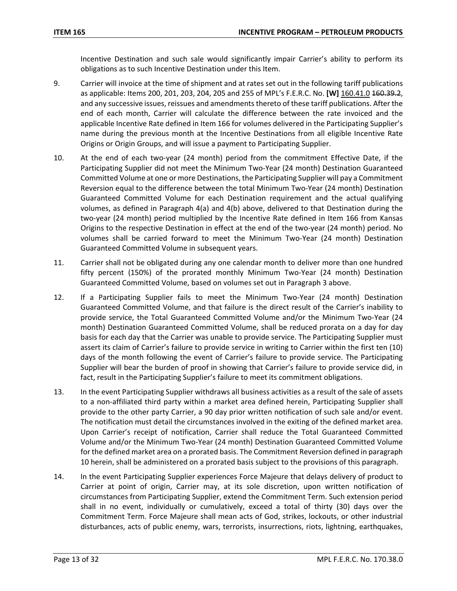Incentive Destination and such sale would significantly impair Carrier's ability to perform its obligations as to such Incentive Destination under this Item.

- 9. Carrier will invoice at the time of shipment and at rates set out in the following tariff publications as applicable: Items 200, 201, 203, 204, 205 and 255 of MPL's F.E.R.C. No. **[W]** 160.41.0 160.39.2, and any successive issues, reissues and amendments thereto of these tariff publications. After the end of each month, Carrier will calculate the difference between the rate invoiced and the applicable Incentive Rate defined in Item 166 for volumes delivered in the Participating Supplier's name during the previous month at the Incentive Destinations from all eligible Incentive Rate Origins or Origin Groups, and will issue a payment to Participating Supplier.
- 10. At the end of each two-year (24 month) period from the commitment Effective Date, if the Participating Supplier did not meet the Minimum Two-Year (24 month) Destination Guaranteed Committed Volume at one or more Destinations, the Participating Supplier will pay a Commitment Reversion equal to the difference between the total Minimum Two-Year (24 month) Destination Guaranteed Committed Volume for each Destination requirement and the actual qualifying volumes, as defined in Paragraph 4(a) and 4(b) above, delivered to that Destination during the two-year (24 month) period multiplied by the Incentive Rate defined in Item 166 from Kansas Origins to the respective Destination in effect at the end of the two-year (24 month) period. No volumes shall be carried forward to meet the Minimum Two-Year (24 month) Destination Guaranteed Committed Volume in subsequent years.
- 11. Carrier shall not be obligated during any one calendar month to deliver more than one hundred fifty percent (150%) of the prorated monthly Minimum Two-Year (24 month) Destination Guaranteed Committed Volume, based on volumes set out in Paragraph 3 above.
- 12. If a Participating Supplier fails to meet the Minimum Two-Year (24 month) Destination Guaranteed Committed Volume, and that failure is the direct result of the Carrier's inability to provide service, the Total Guaranteed Committed Volume and/or the Minimum Two-Year (24 month) Destination Guaranteed Committed Volume, shall be reduced prorata on a day for day basis for each day that the Carrier was unable to provide service. The Participating Supplier must assert its claim of Carrier's failure to provide service in writing to Carrier within the first ten (10) days of the month following the event of Carrier's failure to provide service. The Participating Supplier will bear the burden of proof in showing that Carrier's failure to provide service did, in fact, result in the Participating Supplier's failure to meet its commitment obligations.
- 13. In the event Participating Supplier withdraws all business activities as a result of the sale of assets to a non-affiliated third party within a market area defined herein, Participating Supplier shall provide to the other party Carrier, a 90 day prior written notification of such sale and/or event. The notification must detail the circumstances involved in the exiting of the defined market area. Upon Carrier's receipt of notification, Carrier shall reduce the Total Guaranteed Committed Volume and/or the Minimum Two-Year (24 month) Destination Guaranteed Committed Volume for the defined market area on a prorated basis. The Commitment Reversion defined in paragraph 10 herein, shall be administered on a prorated basis subject to the provisions of this paragraph.
- 14. In the event Participating Supplier experiences Force Majeure that delays delivery of product to Carrier at point of origin, Carrier may, at its sole discretion, upon written notification of circumstances from Participating Supplier, extend the Commitment Term. Such extension period shall in no event, individually or cumulatively, exceed a total of thirty (30) days over the Commitment Term. Force Majeure shall mean acts of God, strikes, lockouts, or other industrial disturbances, acts of public enemy, wars, terrorists, insurrections, riots, lightning, earthquakes,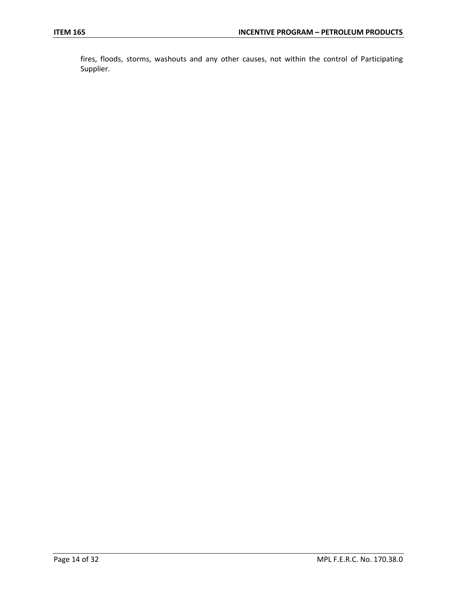fires, floods, storms, washouts and any other causes, not within the control of Participating Supplier.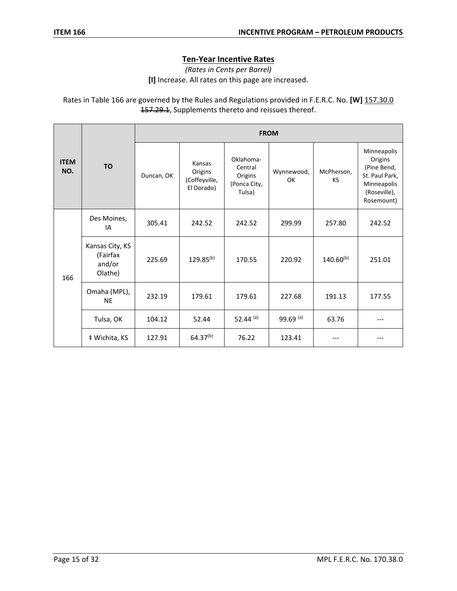# **Ten-Year Incentive Rates**

*(Rates in Cents per Barrel)* **[I]** Increase. All rates on this page are increased.

Rates in Table 166 are governed by the Rules and Regulations provided in F.E.R.C. No. **[W]** 157.30.0 157.29.1, Supplements thereto and reissues thereof.

|                    |                                                  | <b>FROM</b> |                                                  |                                                           |                  |                         |                                                                                                      |  |
|--------------------|--------------------------------------------------|-------------|--------------------------------------------------|-----------------------------------------------------------|------------------|-------------------------|------------------------------------------------------------------------------------------------------|--|
| <b>ITEM</b><br>NO. | <b>TO</b>                                        | Duncan, OK  | Kansas<br>Origins<br>(Coffeyville,<br>El Dorado) | Oklahoma-<br>Central<br>Origins<br>(Ponca City,<br>Tulsa) | Wynnewood,<br>OK | McPherson,<br><b>KS</b> | Minneapolis<br>Origins<br>(Pine Bend,<br>St. Paul Park,<br>Minneapolis<br>(Roseville),<br>Rosemount) |  |
| 166                | Des Moines,<br>IA                                | 305.41      | 242.52                                           | 242.52                                                    | 299.99           | 257.80                  | 242.52                                                                                               |  |
|                    | Kansas City, KS<br>(Fairfax<br>and/or<br>Olathe) | 225.69      | $129.85^{(b)}$                                   | 170.55                                                    | 220.92           | $140.60^{(b)}$          | 251.01                                                                                               |  |
|                    | Omaha (MPL),<br><b>NE</b>                        | 232.19      | 179.61                                           | 179.61                                                    | 227.68           | 191.13                  | 177.55                                                                                               |  |
|                    | Tulsa, OK                                        | 104.12      | 52.44                                            | 52.44 $(a)$                                               | 99.69 (a)        | 63.76                   | ---                                                                                                  |  |
|                    | # Wichita, KS                                    | 127.91      | $64.37^{(b)}$                                    | 76.22                                                     | 123.41           |                         |                                                                                                      |  |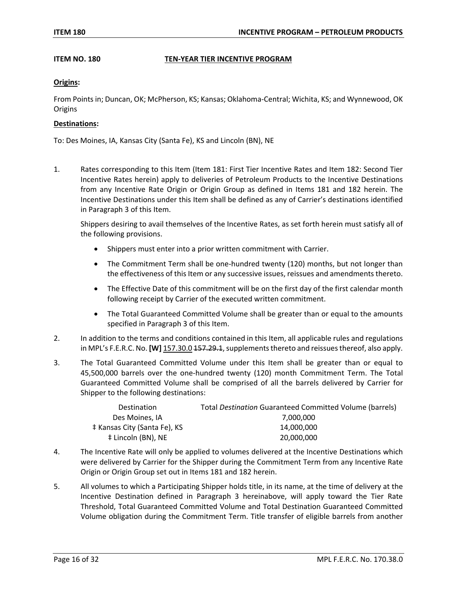## **ITEM NO. 180 TEN-YEAR TIER INCENTIVE PROGRAM**

## **Origins:**

From Points in; Duncan, OK; McPherson, KS; Kansas; Oklahoma-Central; Wichita, KS; and Wynnewood, OK **Origins** 

### **Destinations:**

To: Des Moines, IA, Kansas City (Santa Fe), KS and Lincoln (BN), NE

1. Rates corresponding to this Item (Item 181: First Tier Incentive Rates and Item 182: Second Tier Incentive Rates herein) apply to deliveries of Petroleum Products to the Incentive Destinations from any Incentive Rate Origin or Origin Group as defined in Items 181 and 182 herein. The Incentive Destinations under this Item shall be defined as any of Carrier's destinations identified in Paragraph 3 of this Item.

Shippers desiring to avail themselves of the Incentive Rates, as set forth herein must satisfy all of the following provisions.

- Shippers must enter into a prior written commitment with Carrier.
- The Commitment Term shall be one-hundred twenty (120) months, but not longer than the effectiveness of this Item or any successive issues, reissues and amendments thereto.
- The Effective Date of this commitment will be on the first day of the first calendar month following receipt by Carrier of the executed written commitment.
- The Total Guaranteed Committed Volume shall be greater than or equal to the amounts specified in Paragraph 3 of this Item.
- 2. In addition to the terms and conditions contained in this Item, all applicable rules and regulations in MPL's F.E.R.C. No. **[W]** 157.30.0 157.29.1, supplements thereto and reissues thereof, also apply.
- 3. The Total Guaranteed Committed Volume under this Item shall be greater than or equal to 45,500,000 barrels over the one-hundred twenty (120) month Commitment Term. The Total Guaranteed Committed Volume shall be comprised of all the barrels delivered by Carrier for Shipper to the following destinations:

| Destination                  | Total Destination Guaranteed Committed Volume (barrels) |
|------------------------------|---------------------------------------------------------|
| Des Moines, IA               | 7.000.000                                               |
| ‡ Kansas City (Santa Fe), KS | 14.000.000                                              |
| ‡ Lincoln (BN), NE           | 20,000,000                                              |

- 4. The Incentive Rate will only be applied to volumes delivered at the Incentive Destinations which were delivered by Carrier for the Shipper during the Commitment Term from any Incentive Rate Origin or Origin Group set out in Items 181 and 182 herein.
- 5. All volumes to which a Participating Shipper holds title, in its name, at the time of delivery at the Incentive Destination defined in Paragraph 3 hereinabove, will apply toward the Tier Rate Threshold, Total Guaranteed Committed Volume and Total Destination Guaranteed Committed Volume obligation during the Commitment Term. Title transfer of eligible barrels from another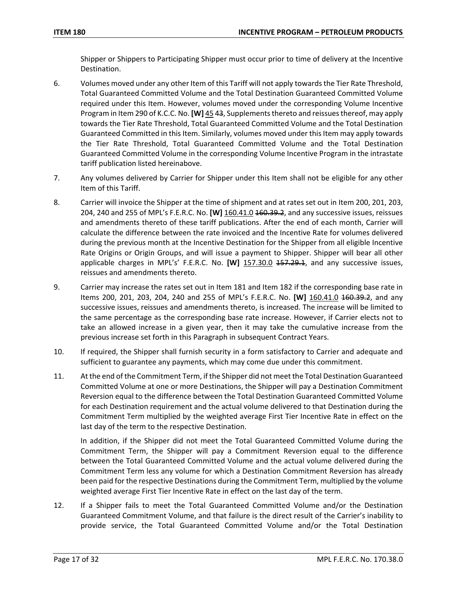Shipper or Shippers to Participating Shipper must occur prior to time of delivery at the Incentive Destination.

- 6. Volumes moved under any other Item of this Tariff will not apply towards the Tier Rate Threshold, Total Guaranteed Committed Volume and the Total Destination Guaranteed Committed Volume required under this Item. However, volumes moved under the corresponding Volume Incentive Program in Item 290 of K.C.C. No. **[W]** 45 43, Supplements thereto and reissues thereof, may apply towards the Tier Rate Threshold, Total Guaranteed Committed Volume and the Total Destination Guaranteed Committed in this Item. Similarly, volumes moved under this Item may apply towards the Tier Rate Threshold, Total Guaranteed Committed Volume and the Total Destination Guaranteed Committed Volume in the corresponding Volume Incentive Program in the intrastate tariff publication listed hereinabove.
- 7. Any volumes delivered by Carrier for Shipper under this Item shall not be eligible for any other Item of this Tariff.
- 8. Carrier will invoice the Shipper at the time of shipment and at rates set out in Item 200, 201, 203, 204, 240 and 255 of MPL's F.E.R.C. No. **[W]** 160.41.0 160.39.2, and any successive issues, reissues and amendments thereto of these tariff publications. After the end of each month, Carrier will calculate the difference between the rate invoiced and the Incentive Rate for volumes delivered during the previous month at the Incentive Destination for the Shipper from all eligible Incentive Rate Origins or Origin Groups, and will issue a payment to Shipper. Shipper will bear all other applicable charges in MPL's' F.E.R.C. No. [W] 157.30.0 157.29.1, and any successive issues, reissues and amendments thereto.
- 9. Carrier may increase the rates set out in Item 181 and Item 182 if the corresponding base rate in Items 200, 201, 203, 204, 240 and 255 of MPL's F.E.R.C. No. **[W]** 160.41.0 160.39.2, and any successive issues, reissues and amendments thereto, is increased. The increase will be limited to the same percentage as the corresponding base rate increase. However, if Carrier elects not to take an allowed increase in a given year, then it may take the cumulative increase from the previous increase set forth in this Paragraph in subsequent Contract Years.
- 10. If required, the Shipper shall furnish security in a form satisfactory to Carrier and adequate and sufficient to guarantee any payments, which may come due under this commitment.
- 11. At the end of the Commitment Term, if the Shipper did not meet the Total Destination Guaranteed Committed Volume at one or more Destinations, the Shipper will pay a Destination Commitment Reversion equal to the difference between the Total Destination Guaranteed Committed Volume for each Destination requirement and the actual volume delivered to that Destination during the Commitment Term multiplied by the weighted average First Tier Incentive Rate in effect on the last day of the term to the respective Destination.

In addition, if the Shipper did not meet the Total Guaranteed Committed Volume during the Commitment Term, the Shipper will pay a Commitment Reversion equal to the difference between the Total Guaranteed Committed Volume and the actual volume delivered during the Commitment Term less any volume for which a Destination Commitment Reversion has already been paid for the respective Destinations during the Commitment Term, multiplied by the volume weighted average First Tier Incentive Rate in effect on the last day of the term.

12. If a Shipper fails to meet the Total Guaranteed Committed Volume and/or the Destination Guaranteed Commitment Volume, and that failure is the direct result of the Carrier's inability to provide service, the Total Guaranteed Committed Volume and/or the Total Destination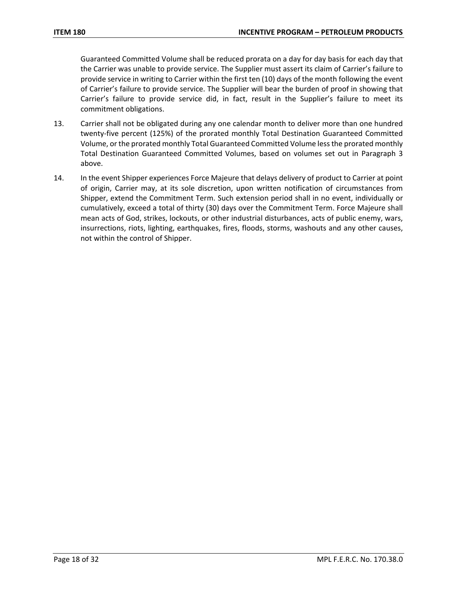Guaranteed Committed Volume shall be reduced prorata on a day for day basis for each day that the Carrier was unable to provide service. The Supplier must assert its claim of Carrier's failure to provide service in writing to Carrier within the first ten (10) days of the month following the event of Carrier's failure to provide service. The Supplier will bear the burden of proof in showing that Carrier's failure to provide service did, in fact, result in the Supplier's failure to meet its commitment obligations.

- 13. Carrier shall not be obligated during any one calendar month to deliver more than one hundred twenty-five percent (125%) of the prorated monthly Total Destination Guaranteed Committed Volume, or the prorated monthly Total Guaranteed Committed Volume less the prorated monthly Total Destination Guaranteed Committed Volumes, based on volumes set out in Paragraph 3 above.
- 14. In the event Shipper experiences Force Majeure that delays delivery of product to Carrier at point of origin, Carrier may, at its sole discretion, upon written notification of circumstances from Shipper, extend the Commitment Term. Such extension period shall in no event, individually or cumulatively, exceed a total of thirty (30) days over the Commitment Term. Force Majeure shall mean acts of God, strikes, lockouts, or other industrial disturbances, acts of public enemy, wars, insurrections, riots, lighting, earthquakes, fires, floods, storms, washouts and any other causes, not within the control of Shipper.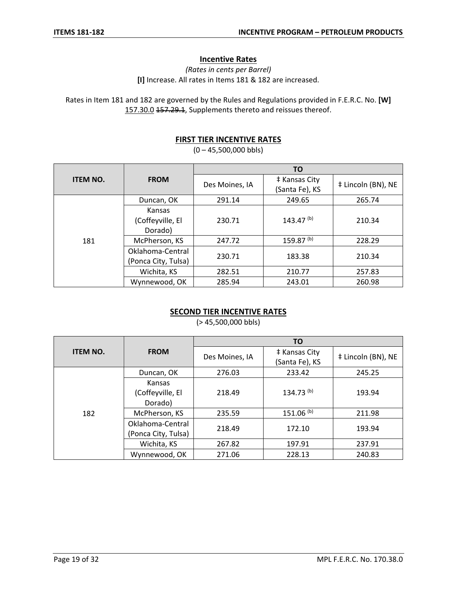# **Incentive Rates**

*(Rates in cents per Barrel)* **[I]** Increase. All rates in Items 181 & 182 are increased.

Rates in Item 181 and 182 are governed by the Rules and Regulations provided in F.E.R.C. No. **[W]** 157.30.0 157.29.1, Supplements thereto and reissues thereof.

# **FIRST TIER INCENTIVE RATES**

 $(0 - 45,500,000$  bbls)

|                 |                                         | ΤO             |                                 |                    |  |
|-----------------|-----------------------------------------|----------------|---------------------------------|--------------------|--|
| <b>ITEM NO.</b> | <b>FROM</b>                             | Des Moines, IA | # Kansas City<br>(Santa Fe), KS | ‡ Lincoln (BN), NE |  |
|                 | Duncan, OK                              | 291.14         | 249.65                          | 265.74             |  |
|                 | Kansas<br>(Coffeyville, El<br>Dorado)   | 230.71         | 143.47 $(b)$                    | 210.34             |  |
| 181             | McPherson, KS                           | 247.72         | 159.87 <sup>(b)</sup>           | 228.29             |  |
|                 | Oklahoma-Central<br>(Ponca City, Tulsa) | 230.71         | 183.38                          | 210.34             |  |
|                 | Wichita, KS                             | 282.51         | 210.77                          | 257.83             |  |
|                 | Wynnewood, OK                           | 285.94         | 243.01                          | 260.98             |  |

# **SECOND TIER INCENTIVE RATES**

(> 45,500,000 bbls)

|                 |                                         | <b>TO</b>      |                                 |                    |  |
|-----------------|-----------------------------------------|----------------|---------------------------------|--------------------|--|
| <b>ITEM NO.</b> | <b>FROM</b>                             | Des Moines, IA | # Kansas City<br>(Santa Fe), KS | # Lincoln (BN), NE |  |
|                 | Duncan, OK                              | 276.03         | 233.42                          | 245.25             |  |
|                 | Kansas<br>(Coffeyville, El<br>Dorado)   | 218.49         | $134.73^{(b)}$                  | 193.94             |  |
| 182             | McPherson, KS                           | 235.59         | $151.06$ <sup>(b)</sup>         | 211.98             |  |
|                 | Oklahoma-Central<br>(Ponca City, Tulsa) | 218.49         | 172.10                          | 193.94             |  |
|                 | Wichita, KS                             | 267.82         | 197.91                          | 237.91             |  |
|                 | Wynnewood, OK                           | 271.06         | 228.13                          | 240.83             |  |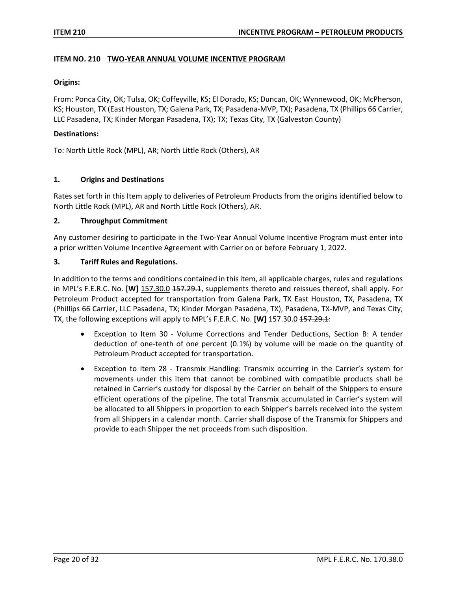## **ITEM NO. 210 TWO-YEAR ANNUAL VOLUME INCENTIVE PROGRAM**

### **Origins:**

From: Ponca City, OK; Tulsa, OK; Coffeyville, KS; El Dorado, KS; Duncan, OK; Wynnewood, OK; McPherson, KS; Houston, TX (East Houston, TX; Galena Park, TX; Pasadena-MVP, TX); Pasadena, TX (Phillips 66 Carrier, LLC Pasadena, TX; Kinder Morgan Pasadena, TX); TX; Texas City, TX (Galveston County)

## **Destinations:**

To: North Little Rock (MPL), AR; North Little Rock (Others), AR

## **1. Origins and Destinations**

Rates set forth in this Item apply to deliveries of Petroleum Products from the origins identified below to North Little Rock (MPL), AR and North Little Rock (Others), AR.

## **2. Throughput Commitment**

Any customer desiring to participate in the Two-Year Annual Volume Incentive Program must enter into a prior written Volume Incentive Agreement with Carrier on or before February 1, 2022.

# **3. Tariff Rules and Regulations.**

In addition to the terms and conditions contained in this item, all applicable charges, rules and regulations in MPL's F.E.R.C. No. **[W]** 157.30.0 <del>157.29.1</del>, supplements thereto and reissues thereof, shall apply. For Petroleum Product accepted for transportation from Galena Park, TX East Houston, TX, Pasadena, TX (Phillips 66 Carrier, LLC Pasadena, TX; Kinder Morgan Pasadena, TX), Pasadena, TX-MVP, and Texas City, TX, the following exceptions will apply to MPL's F.E.R.C. No. **[W]** 157.30.0 157.29.1:

- Exception to Item 30 Volume Corrections and Tender Deductions, Section B: A tender deduction of one-tenth of one percent (0.1%) by volume will be made on the quantity of Petroleum Product accepted for transportation.
- Exception to Item 28 Transmix Handling: Transmix occurring in the Carrier's system for movements under this item that cannot be combined with compatible products shall be retained in Carrier's custody for disposal by the Carrier on behalf of the Shippers to ensure efficient operations of the pipeline. The total Transmix accumulated in Carrier's system will be allocated to all Shippers in proportion to each Shipper's barrels received into the system from all Shippers in a calendar month. Carrier shall dispose of the Transmix for Shippers and provide to each Shipper the net proceeds from such disposition.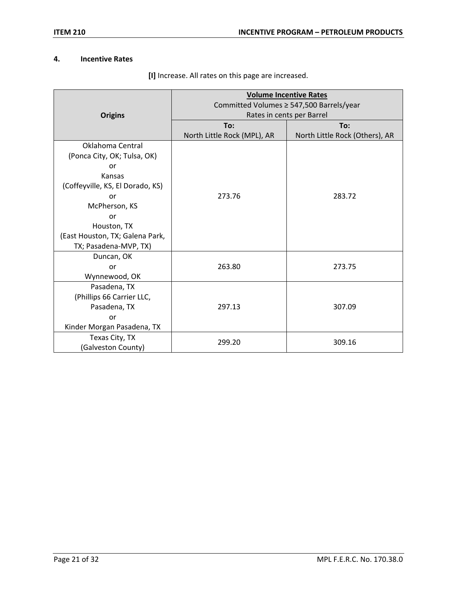# **4. Incentive Rates**

|                                  | <b>Volume Incentive Rates</b><br>Committed Volumes ≥ 547,500 Barrels/year |                                |  |  |
|----------------------------------|---------------------------------------------------------------------------|--------------------------------|--|--|
| <b>Origins</b>                   | Rates in cents per Barrel                                                 |                                |  |  |
|                                  | To:                                                                       | To:                            |  |  |
|                                  | North Little Rock (MPL), AR                                               | North Little Rock (Others), AR |  |  |
| Oklahoma Central                 |                                                                           |                                |  |  |
| (Ponca City, OK; Tulsa, OK)      |                                                                           |                                |  |  |
| or                               |                                                                           |                                |  |  |
| Kansas                           |                                                                           |                                |  |  |
| (Coffeyville, KS, El Dorado, KS) |                                                                           |                                |  |  |
| or                               | 273.76                                                                    | 283.72                         |  |  |
| McPherson, KS                    |                                                                           |                                |  |  |
| or                               |                                                                           |                                |  |  |
| Houston, TX                      |                                                                           |                                |  |  |
| (East Houston, TX; Galena Park,  |                                                                           |                                |  |  |
| TX; Pasadena-MVP, TX)            |                                                                           |                                |  |  |
| Duncan, OK                       |                                                                           |                                |  |  |
| or                               | 263.80                                                                    | 273.75                         |  |  |
| Wynnewood, OK                    |                                                                           |                                |  |  |
| Pasadena, TX                     |                                                                           |                                |  |  |
| (Phillips 66 Carrier LLC,        |                                                                           |                                |  |  |
| Pasadena, TX                     | 297.13                                                                    | 307.09                         |  |  |
| or                               |                                                                           |                                |  |  |
| Kinder Morgan Pasadena, TX       |                                                                           |                                |  |  |
| Texas City, TX                   | 299.20                                                                    | 309.16                         |  |  |
| (Galveston County)               |                                                                           |                                |  |  |

**[I]** Increase. All rates on this page are increased.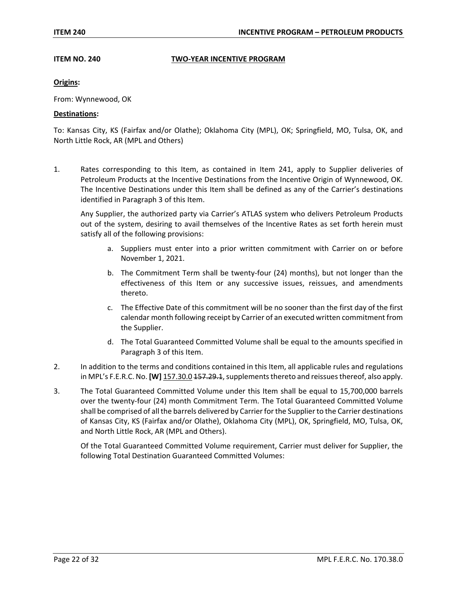### **ITEM NO. 240 TWO-YEAR INCENTIVE PROGRAM**

## **Origins:**

From: Wynnewood, OK

### **Destinations:**

To: Kansas City, KS (Fairfax and/or Olathe); Oklahoma City (MPL), OK; Springfield, MO, Tulsa, OK, and North Little Rock, AR (MPL and Others)

1. Rates corresponding to this Item, as contained in Item 241, apply to Supplier deliveries of Petroleum Products at the Incentive Destinations from the Incentive Origin of Wynnewood, OK. The Incentive Destinations under this Item shall be defined as any of the Carrier's destinations identified in Paragraph 3 of this Item.

Any Supplier, the authorized party via Carrier's ATLAS system who delivers Petroleum Products out of the system, desiring to avail themselves of the Incentive Rates as set forth herein must satisfy all of the following provisions:

- a. Suppliers must enter into a prior written commitment with Carrier on or before November 1, 2021.
- b. The Commitment Term shall be twenty-four (24) months), but not longer than the effectiveness of this Item or any successive issues, reissues, and amendments thereto.
- c. The Effective Date of this commitment will be no sooner than the first day of the first calendar month following receipt by Carrier of an executed written commitment from the Supplier.
- d. The Total Guaranteed Committed Volume shall be equal to the amounts specified in Paragraph 3 of this Item.
- 2. In addition to the terms and conditions contained in this Item, all applicable rules and regulations in MPL's F.E.R.C. No. **[W]** 157.30.0 157.29.1, supplements thereto and reissues thereof, also apply.
- 3. The Total Guaranteed Committed Volume under this Item shall be equal to 15,700,000 barrels over the twenty-four (24) month Commitment Term. The Total Guaranteed Committed Volume shall be comprised of all the barrels delivered by Carrier for the Supplier to the Carrier destinations of Kansas City, KS (Fairfax and/or Olathe), Oklahoma City (MPL), OK, Springfield, MO, Tulsa, OK, and North Little Rock, AR (MPL and Others).

Of the Total Guaranteed Committed Volume requirement, Carrier must deliver for Supplier, the following Total Destination Guaranteed Committed Volumes: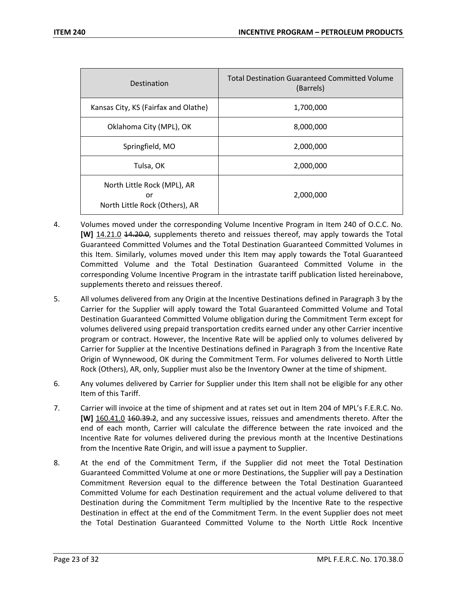| Destination                                                         | <b>Total Destination Guaranteed Committed Volume</b><br>(Barrels) |
|---------------------------------------------------------------------|-------------------------------------------------------------------|
| Kansas City, KS (Fairfax and Olathe)                                | 1,700,000                                                         |
| Oklahoma City (MPL), OK                                             | 8,000,000                                                         |
| Springfield, MO                                                     | 2,000,000                                                         |
| Tulsa, OK                                                           | 2,000,000                                                         |
| North Little Rock (MPL), AR<br>or<br>North Little Rock (Others), AR | 2,000,000                                                         |

- 4. Volumes moved under the corresponding Volume Incentive Program in Item 240 of O.C.C. No. **[W]** 14.21.0 14.20.0, supplements thereto and reissues thereof, may apply towards the Total Guaranteed Committed Volumes and the Total Destination Guaranteed Committed Volumes in this Item. Similarly, volumes moved under this Item may apply towards the Total Guaranteed Committed Volume and the Total Destination Guaranteed Committed Volume in the corresponding Volume Incentive Program in the intrastate tariff publication listed hereinabove, supplements thereto and reissues thereof.
- 5. All volumes delivered from any Origin at the Incentive Destinations defined in Paragraph 3 by the Carrier for the Supplier will apply toward the Total Guaranteed Committed Volume and Total Destination Guaranteed Committed Volume obligation during the Commitment Term except for volumes delivered using prepaid transportation credits earned under any other Carrier incentive program or contract. However, the Incentive Rate will be applied only to volumes delivered by Carrier for Supplier at the Incentive Destinations defined in Paragraph 3 from the Incentive Rate Origin of Wynnewood, OK during the Commitment Term. For volumes delivered to North Little Rock (Others), AR, only, Supplier must also be the Inventory Owner at the time of shipment.
- 6. Any volumes delivered by Carrier for Supplier under this Item shall not be eligible for any other Item of this Tariff.
- 7. Carrier will invoice at the time of shipment and at rates set out in Item 204 of MPL's F.E.R.C. No. **[W]** 160.41.0 160.39.2, and any successive issues, reissues and amendments thereto. After the end of each month, Carrier will calculate the difference between the rate invoiced and the Incentive Rate for volumes delivered during the previous month at the Incentive Destinations from the Incentive Rate Origin, and will issue a payment to Supplier.
- 8. At the end of the Commitment Term, if the Supplier did not meet the Total Destination Guaranteed Committed Volume at one or more Destinations, the Supplier will pay a Destination Commitment Reversion equal to the difference between the Total Destination Guaranteed Committed Volume for each Destination requirement and the actual volume delivered to that Destination during the Commitment Term multiplied by the Incentive Rate to the respective Destination in effect at the end of the Commitment Term. In the event Supplier does not meet the Total Destination Guaranteed Committed Volume to the North Little Rock Incentive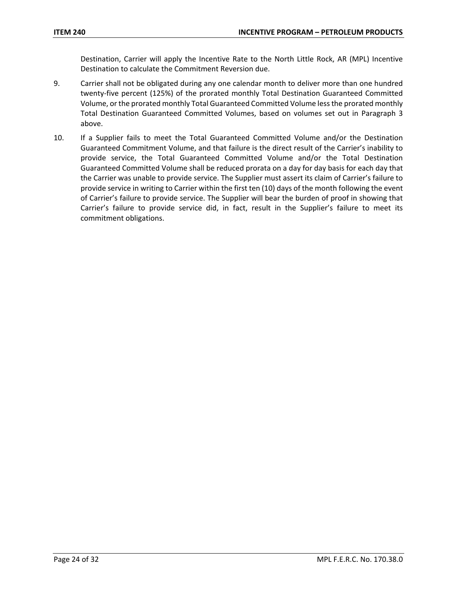Destination, Carrier will apply the Incentive Rate to the North Little Rock, AR (MPL) Incentive Destination to calculate the Commitment Reversion due.

- 9. Carrier shall not be obligated during any one calendar month to deliver more than one hundred twenty-five percent (125%) of the prorated monthly Total Destination Guaranteed Committed Volume, or the prorated monthly Total Guaranteed Committed Volume less the prorated monthly Total Destination Guaranteed Committed Volumes, based on volumes set out in Paragraph 3 above.
- 10. If a Supplier fails to meet the Total Guaranteed Committed Volume and/or the Destination Guaranteed Commitment Volume, and that failure is the direct result of the Carrier's inability to provide service, the Total Guaranteed Committed Volume and/or the Total Destination Guaranteed Committed Volume shall be reduced prorata on a day for day basis for each day that the Carrier was unable to provide service. The Supplier must assert its claim of Carrier's failure to provide service in writing to Carrier within the first ten (10) days of the month following the event of Carrier's failure to provide service. The Supplier will bear the burden of proof in showing that Carrier's failure to provide service did, in fact, result in the Supplier's failure to meet its commitment obligations.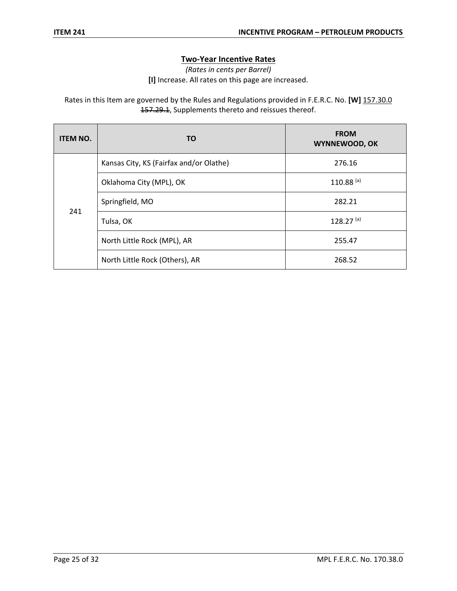# **Two-Year Incentive Rates**

*(Rates in cents per Barrel)*

**[I]** Increase. All rates on this page are increased.

Rates in this Item are governed by the Rules and Regulations provided in F.E.R.C. No. **[W]** 157.30.0 157.29.1, Supplements thereto and reissues thereof.

| <b>ITEM NO.</b> | TO                                      | <b>FROM</b><br><b>WYNNEWOOD, OK</b> |
|-----------------|-----------------------------------------|-------------------------------------|
| 241             | Kansas City, KS (Fairfax and/or Olathe) | 276.16                              |
|                 | Oklahoma City (MPL), OK                 | $110.88^{(a)}$                      |
|                 | Springfield, MO                         | 282.21                              |
|                 | Tulsa, OK                               | 128.27 $(a)$                        |
|                 | North Little Rock (MPL), AR             | 255.47                              |
|                 | North Little Rock (Others), AR          | 268.52                              |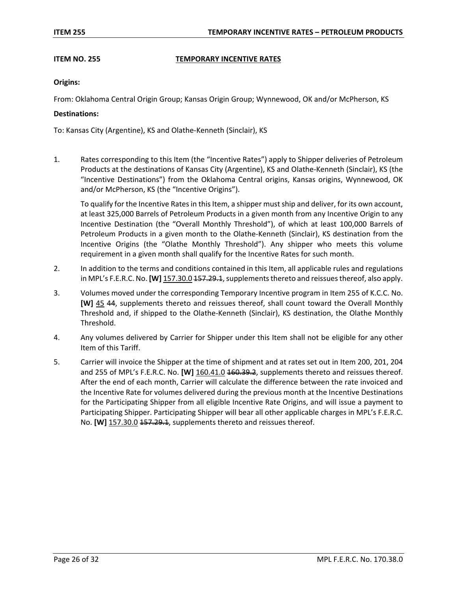# **ITEM NO. 255 TEMPORARY INCENTIVE RATES**

# **Origins:**

From: Oklahoma Central Origin Group; Kansas Origin Group; Wynnewood, OK and/or McPherson, KS

# **Destinations:**

To: Kansas City (Argentine), KS and Olathe-Kenneth (Sinclair), KS

1. Rates corresponding to this Item (the "Incentive Rates") apply to Shipper deliveries of Petroleum Products at the destinations of Kansas City (Argentine), KS and Olathe-Kenneth (Sinclair), KS (the "Incentive Destinations") from the Oklahoma Central origins, Kansas origins, Wynnewood, OK and/or McPherson, KS (the "Incentive Origins").

To qualify for the Incentive Rates in this Item, a shipper must ship and deliver, for its own account, at least 325,000 Barrels of Petroleum Products in a given month from any Incentive Origin to any Incentive Destination (the "Overall Monthly Threshold"), of which at least 100,000 Barrels of Petroleum Products in a given month to the Olathe-Kenneth (Sinclair), KS destination from the Incentive Origins (the "Olathe Monthly Threshold"). Any shipper who meets this volume requirement in a given month shall qualify for the Incentive Rates for such month.

- 2. In addition to the terms and conditions contained in this Item, all applicable rules and regulations in MPL's F.E.R.C. No. **[W]** 157.30.0 157.29.1, supplements thereto and reissues thereof, also apply.
- 3. Volumes moved under the corresponding Temporary Incentive program in Item 255 of K.C.C. No. **[W]** 45 44, supplements thereto and reissues thereof, shall count toward the Overall Monthly Threshold and, if shipped to the Olathe-Kenneth (Sinclair), KS destination, the Olathe Monthly Threshold.
- 4. Any volumes delivered by Carrier for Shipper under this Item shall not be eligible for any other Item of this Tariff.
- 5. Carrier will invoice the Shipper at the time of shipment and at rates set out in Item 200, 201, 204 and 255 of MPL's F.E.R.C. No. **[W]** 160.41.0 460.39.2, supplements thereto and reissues thereof. After the end of each month, Carrier will calculate the difference between the rate invoiced and the Incentive Rate for volumes delivered during the previous month at the Incentive Destinations for the Participating Shipper from all eligible Incentive Rate Origins, and will issue a payment to Participating Shipper. Participating Shipper will bear all other applicable charges in MPL's F.E.R.C. No. **[W]** 157.30.0 157.29.1, supplements thereto and reissues thereof.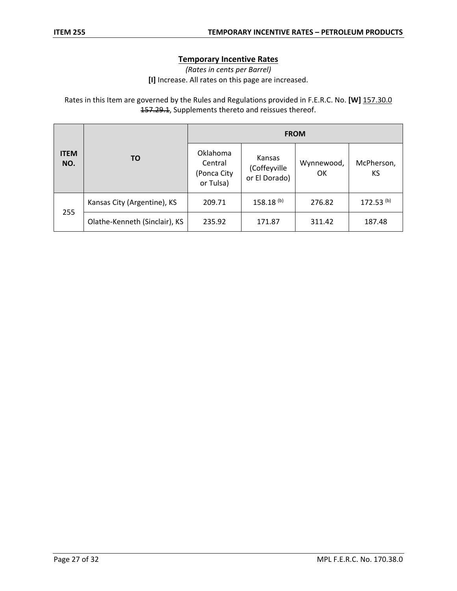# **Temporary Incentive Rates**

*(Rates in cents per Barrel)*

**[I]** Increase. All rates on this page are increased.

Rates in this Item are governed by the Rules and Regulations provided in F.E.R.C. No. **[W]** 157.30.0 157.29.1, Supplements thereto and reissues thereof.

|                    | <b>TO</b>                     | <b>FROM</b>                                     |                                         |                  |                         |
|--------------------|-------------------------------|-------------------------------------------------|-----------------------------------------|------------------|-------------------------|
| <b>ITEM</b><br>NO. |                               | Oklahoma<br>Central<br>(Ponca City<br>or Tulsa) | Kansas<br>(Coffeyville<br>or El Dorado) | Wynnewood,<br>OK | McPherson,<br>KS        |
|                    | Kansas City (Argentine), KS   | 209.71                                          | 158.18 <sup>(b)</sup>                   | 276.82           | $172.53$ <sup>(b)</sup> |
| 255                | Olathe-Kenneth (Sinclair), KS | 235.92                                          | 171.87                                  | 311.42           | 187.48                  |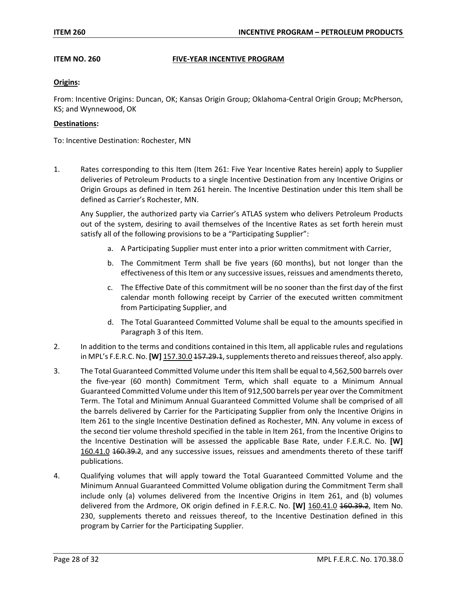# **ITEM NO. 260 FIVE-YEAR INCENTIVE PROGRAM**

# **Origins:**

From: Incentive Origins: Duncan, OK; Kansas Origin Group; Oklahoma-Central Origin Group; McPherson, KS; and Wynnewood, OK

### **Destinations:**

To: Incentive Destination: Rochester, MN

1. Rates corresponding to this Item (Item 261: Five Year Incentive Rates herein) apply to Supplier deliveries of Petroleum Products to a single Incentive Destination from any Incentive Origins or Origin Groups as defined in Item 261 herein. The Incentive Destination under this Item shall be defined as Carrier's Rochester, MN.

Any Supplier, the authorized party via Carrier's ATLAS system who delivers Petroleum Products out of the system, desiring to avail themselves of the Incentive Rates as set forth herein must satisfy all of the following provisions to be a "Participating Supplier":

- a. A Participating Supplier must enter into a prior written commitment with Carrier,
- b. The Commitment Term shall be five years (60 months), but not longer than the effectiveness of this Item or any successive issues, reissues and amendments thereto,
- c. The Effective Date of this commitment will be no sooner than the first day of the first calendar month following receipt by Carrier of the executed written commitment from Participating Supplier, and
- d. The Total Guaranteed Committed Volume shall be equal to the amounts specified in Paragraph 3 of this Item.
- 2. In addition to the terms and conditions contained in this Item, all applicable rules and regulations in MPL's F.E.R.C. No. **[W]** 157.30.0 157.29.1, supplements thereto and reissues thereof, also apply.
- 3. The Total Guaranteed Committed Volume under this Item shall be equal to 4,562,500 barrels over the five-year (60 month) Commitment Term, which shall equate to a Minimum Annual Guaranteed Committed Volume under this Item of 912,500 barrels per year over the Commitment Term. The Total and Minimum Annual Guaranteed Committed Volume shall be comprised of all the barrels delivered by Carrier for the Participating Supplier from only the Incentive Origins in Item 261 to the single Incentive Destination defined as Rochester, MN. Any volume in excess of the second tier volume threshold specified in the table in Item 261, from the Incentive Origins to the Incentive Destination will be assessed the applicable Base Rate, under F.E.R.C. No. **[W]** 160.41.0 160.39.2, and any successive issues, reissues and amendments thereto of these tariff publications.
- 4. Qualifying volumes that will apply toward the Total Guaranteed Committed Volume and the Minimum Annual Guaranteed Committed Volume obligation during the Commitment Term shall include only (a) volumes delivered from the Incentive Origins in Item 261, and (b) volumes delivered from the Ardmore, OK origin defined in F.E.R.C. No. **[W]** 160.41.0 160.39.2, Item No. 230, supplements thereto and reissues thereof, to the Incentive Destination defined in this program by Carrier for the Participating Supplier.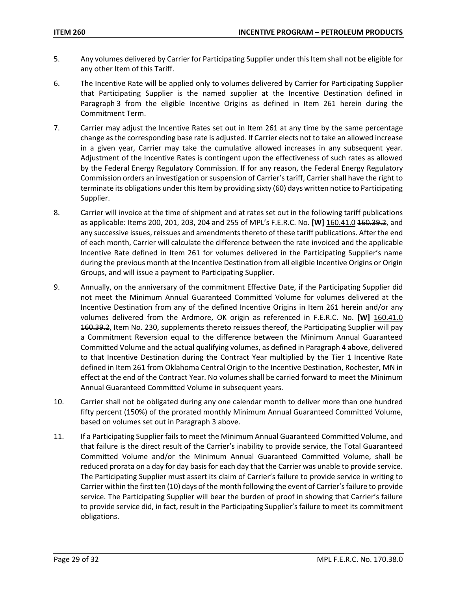- 5. Any volumes delivered by Carrier for Participating Supplier under this Item shall not be eligible for any other Item of this Tariff.
- 6. The Incentive Rate will be applied only to volumes delivered by Carrier for Participating Supplier that Participating Supplier is the named supplier at the Incentive Destination defined in Paragraph 3 from the eligible Incentive Origins as defined in Item 261 herein during the Commitment Term.
- 7. Carrier may adjust the Incentive Rates set out in Item 261 at any time by the same percentage change as the corresponding base rate is adjusted. If Carrier elects not to take an allowed increase in a given year, Carrier may take the cumulative allowed increases in any subsequent year. Adjustment of the Incentive Rates is contingent upon the effectiveness of such rates as allowed by the Federal Energy Regulatory Commission. If for any reason, the Federal Energy Regulatory Commission orders an investigation or suspension of Carrier's tariff, Carrier shall have the right to terminate its obligations under this Item by providing sixty (60) days written notice to Participating Supplier.
- 8. Carrier will invoice at the time of shipment and at rates set out in the following tariff publications as applicable: Items 200, 201, 203, 204 and 255 of MPL's F.E.R.C. No. **[W]** 160.41.0 160.39.2, and any successive issues, reissues and amendments thereto of these tariff publications. After the end of each month, Carrier will calculate the difference between the rate invoiced and the applicable Incentive Rate defined in Item 261 for volumes delivered in the Participating Supplier's name during the previous month at the Incentive Destination from all eligible Incentive Origins or Origin Groups, and will issue a payment to Participating Supplier.
- 9. Annually, on the anniversary of the commitment Effective Date, if the Participating Supplier did not meet the Minimum Annual Guaranteed Committed Volume for volumes delivered at the Incentive Destination from any of the defined Incentive Origins in Item 261 herein and/or any volumes delivered from the Ardmore, OK origin as referenced in F.E.R.C. No. **[W]** 160.41.0 160.39.2, Item No. 230, supplements thereto reissues thereof, the Participating Supplier will pay a Commitment Reversion equal to the difference between the Minimum Annual Guaranteed Committed Volume and the actual qualifying volumes, as defined in Paragraph 4 above, delivered to that Incentive Destination during the Contract Year multiplied by the Tier 1 Incentive Rate defined in Item 261 from Oklahoma Central Origin to the Incentive Destination, Rochester, MN in effect at the end of the Contract Year. No volumes shall be carried forward to meet the Minimum Annual Guaranteed Committed Volume in subsequent years.
- 10. Carrier shall not be obligated during any one calendar month to deliver more than one hundred fifty percent (150%) of the prorated monthly Minimum Annual Guaranteed Committed Volume, based on volumes set out in Paragraph 3 above.
- 11. If a Participating Supplier fails to meet the Minimum Annual Guaranteed Committed Volume, and that failure is the direct result of the Carrier's inability to provide service, the Total Guaranteed Committed Volume and/or the Minimum Annual Guaranteed Committed Volume, shall be reduced prorata on a day for day basis for each day that the Carrier was unable to provide service. The Participating Supplier must assert its claim of Carrier's failure to provide service in writing to Carrier within the first ten (10) days of the month following the event of Carrier's failure to provide service. The Participating Supplier will bear the burden of proof in showing that Carrier's failure to provide service did, in fact, result in the Participating Supplier's failure to meet its commitment obligations.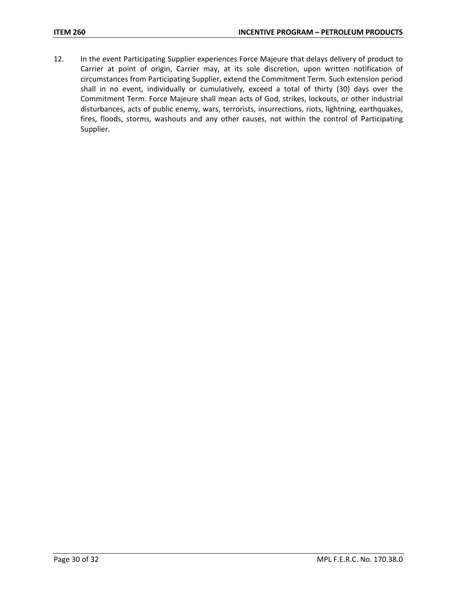12. In the event Participating Supplier experiences Force Majeure that delays delivery of product to Carrier at point of origin, Carrier may, at its sole discretion, upon written notification of circumstances from Participating Supplier, extend the Commitment Term. Such extension period shall in no event, individually or cumulatively, exceed a total of thirty (30) days over the Commitment Term. Force Majeure shall mean acts of God, strikes, lockouts, or other industrial disturbances, acts of public enemy, wars, terrorists, insurrections, riots, lightning, earthquakes, fires, floods, storms, washouts and any other causes, not within the control of Participating Supplier.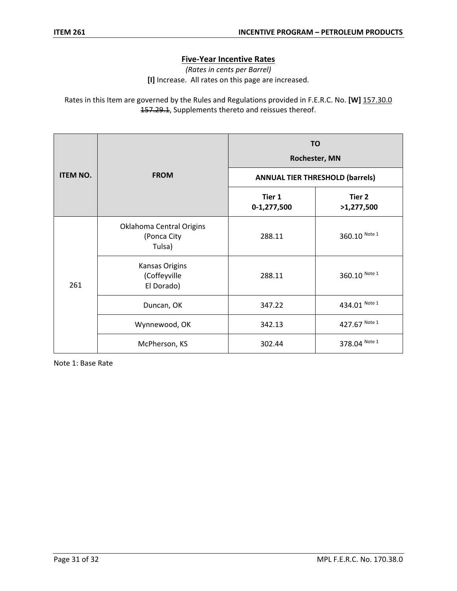# **Five-Year Incentive Rates**

*(Rates in cents per Barrel)* **[I]** Increase. All rates on this page are increased.

Rates in this Item are governed by the Rules and Regulations provided in F.E.R.C. No. **[W]** 157.30.0 157.29.1, Supplements thereto and reissues thereof.

|                 | <b>FROM</b>                                         | <b>TO</b><br>Rochester, MN             |                      |
|-----------------|-----------------------------------------------------|----------------------------------------|----------------------|
| <b>ITEM NO.</b> |                                                     | <b>ANNUAL TIER THRESHOLD (barrels)</b> |                      |
|                 |                                                     | Tier 1<br>0-1,277,500                  | Tier 2<br>>1,277,500 |
| 261             | Oklahoma Central Origins<br>(Ponca City<br>Tulsa)   | 288.11                                 | 360.10 Note 1        |
|                 | <b>Kansas Origins</b><br>(Coffeyville<br>El Dorado) | 288.11                                 | 360.10 Note 1        |
|                 | Duncan, OK                                          | 347.22                                 | 434.01 Note 1        |
|                 | Wynnewood, OK                                       | 342.13                                 | 427.67 Note 1        |
|                 | McPherson, KS                                       | 302.44                                 | 378.04 Note 1        |

Note 1: Base Rate